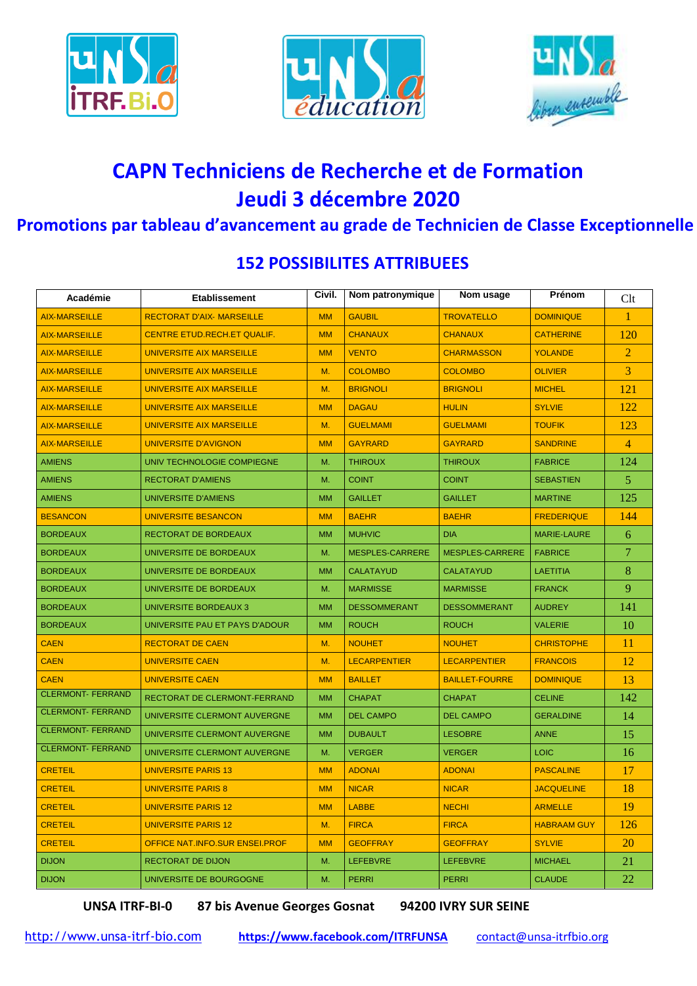





## **CAPN Techniciens de Recherche et de Formation** Jeudi 3 décembre 2020

## Promotions par tableau d'avancement au grade de Technicien de Classe Exceptionnelle

| Académie                 | <b>Etablissement</b>                | Civil.    | Nom patronymique       | Nom usage              | Prénom             | Clt            |
|--------------------------|-------------------------------------|-----------|------------------------|------------------------|--------------------|----------------|
| <b>AIX-MARSEILLE</b>     | <b>RECTORAT D'AIX- MARSEILLE</b>    | <b>MM</b> | <b>GAUBIL</b>          | <b>TROVATELLO</b>      | <b>DOMINIQUE</b>   | 1              |
| <b>AIX-MARSEILLE</b>     | CENTRE ETUD.RECH.ET QUALIF.         | <b>MM</b> | <b>CHANAUX</b>         | <b>CHANAUX</b>         | <b>CATHERINE</b>   | 120            |
| <b>AIX-MARSEILLE</b>     | <b>UNIVERSITE AIX MARSEILLE</b>     | <b>MM</b> | <b>VENTO</b>           | <b>CHARMASSON</b>      | <b>YOLANDE</b>     | $\overline{2}$ |
| <b>AIX-MARSEILLE</b>     | <b>UNIVERSITE AIX MARSEILLE</b>     | М.        | <b>COLOMBO</b>         | <b>COLOMBO</b>         | <b>OLIVIER</b>     | 3              |
| <b>AIX-MARSEILLE</b>     | UNIVERSITE AIX MARSEILLE            | M.        | <b>BRIGNOLI</b>        | <b>BRIGNOLI</b>        | <b>MICHEL</b>      | 121            |
| <b>AIX-MARSEILLE</b>     | <b>UNIVERSITE AIX MARSEILLE</b>     | <b>MM</b> | <b>DAGAU</b>           | <b>HULIN</b>           | <b>SYLVIE</b>      | 122            |
| <b>AIX-MARSEILLE</b>     | <b>UNIVERSITE AIX MARSEILLE</b>     | M.        | <b>GUELMAMI</b>        | <b>GUELMAMI</b>        | <b>TOUFIK</b>      | 123            |
| <b>AIX-MARSEILLE</b>     | <b>UNIVERSITE D'AVIGNON</b>         | <b>MM</b> | <b>GAYRARD</b>         | <b>GAYRARD</b>         | <b>SANDRINE</b>    | 4              |
| <b>AMIENS</b>            | UNIV TECHNOLOGIE COMPIEGNE          | М.        | <b>THIROUX</b>         | <b>THIROUX</b>         | <b>FABRICE</b>     | 124            |
| <b>AMIENS</b>            | <b>RECTORAT D'AMIENS</b>            | M.        | <b>COINT</b>           | <b>COINT</b>           | <b>SEBASTIEN</b>   | 5.             |
| <b>AMIENS</b>            | UNIVERSITE D'AMIENS                 | <b>MM</b> | <b>GAILLET</b>         | <b>GAILLET</b>         | <b>MARTINE</b>     | 125            |
| <b>BESANCON</b>          | <b>UNIVERSITE BESANCON</b>          | <b>MM</b> | <b>BAEHR</b>           | <b>BAEHR</b>           | <b>FREDERIQUE</b>  | 144            |
| <b>BORDEAUX</b>          | RECTORAT DE BORDEAUX                | <b>MM</b> | <b>MUHVIC</b>          | <b>DIA</b>             | <b>MARIE-LAURE</b> | 6              |
| <b>BORDEAUX</b>          | UNIVERSITE DE BORDEAUX              | M.        | <b>MESPLES-CARRERE</b> | <b>MESPLES-CARRERE</b> | <b>FABRICE</b>     | 7              |
| <b>BORDEAUX</b>          | UNIVERSITE DE BORDEAUX              | <b>MM</b> | <b>CALATAYUD</b>       | <b>CALATAYUD</b>       | <b>LAETITIA</b>    | 8              |
| <b>BORDEAUX</b>          | UNIVERSITE DE BORDEAUX              | M.        | <b>MARMISSE</b>        | <b>MARMISSE</b>        | <b>FRANCK</b>      | 9              |
| <b>BORDEAUX</b>          | UNIVERSITE BORDEAUX 3               | <b>MM</b> | <b>DESSOMMERANT</b>    | <b>DESSOMMERANT</b>    | <b>AUDREY</b>      | 141            |
| <b>BORDEAUX</b>          | UNIVERSITE PAU ET PAYS D'ADOUR      | <b>MM</b> | <b>ROUCH</b>           | <b>ROUCH</b>           | <b>VALERIE</b>     | 10             |
| <b>CAEN</b>              | <b>RECTORAT DE CAEN</b>             | M.        | <b>NOUHET</b>          | <b>NOUHET</b>          | <b>CHRISTOPHE</b>  | 11             |
| <b>CAEN</b>              | <b>UNIVERSITE CAEN</b>              | Μ.        | <b>LECARPENTIER</b>    | <b>LECARPENTIER</b>    | <b>FRANCOIS</b>    | 12             |
| <b>CAEN</b>              | <b>UNIVERSITE CAEN</b>              | <b>MM</b> | <b>BAILLET</b>         | <b>BAILLET-FOURRE</b>  | <b>DOMINIQUE</b>   | 13             |
| <b>CLERMONT- FERRAND</b> | <b>RECTORAT DE CLERMONT-FERRAND</b> | <b>MM</b> | <b>CHAPAT</b>          | <b>CHAPAT</b>          | <b>CELINE</b>      | 142            |
| <b>CLERMONT-FERRAND</b>  | UNIVERSITE CLERMONT AUVERGNE        | <b>MM</b> | <b>DEL CAMPO</b>       | <b>DEL CAMPO</b>       | <b>GERALDINE</b>   | 14             |
| <b>CLERMONT- FERRAND</b> | UNIVERSITE CLERMONT AUVERGNE        | <b>MM</b> | <b>DUBAULT</b>         | <b>LESOBRE</b>         | <b>ANNE</b>        | 15             |
| <b>CLERMONT- FERRAND</b> | UNIVERSITE CLERMONT AUVERGNE        | M.        | <b>VERGER</b>          | <b>VERGER</b>          | <b>LOIC</b>        | 16             |
| <b>CRETEIL</b>           | <b>UNIVERSITE PARIS 13</b>          | <b>MM</b> | <b>ADONAI</b>          | <b>ADONAI</b>          | <b>PASCALINE</b>   | 17             |
| <b>CRETEIL</b>           | <b>UNIVERSITE PARIS 8</b>           | <b>MM</b> | <b>NICAR</b>           | <b>NICAR</b>           | <b>JACQUELINE</b>  | 18             |
| <b>CRETEIL</b>           | <b>UNIVERSITE PARIS 12</b>          | <b>MM</b> | <b>LABBE</b>           | <b>NECHI</b>           | <b>ARMELLE</b>     | 19             |
| <b>CRETEIL</b>           | <b>UNIVERSITE PARIS 12</b>          | M.        | <b>FIRCA</b>           | <b>FIRCA</b>           | <b>HABRAAM GUY</b> | 126            |
| <b>CRETEIL</b>           | OFFICE NAT.INFO.SUR ENSEI.PROF      | <b>MM</b> | <b>GEOFFRAY</b>        | <b>GEOFFRAY</b>        | <b>SYLVIE</b>      | 20             |
| <b>DIJON</b>             | <b>RECTORAT DE DIJON</b>            | M.        | <b>LEFEBVRE</b>        | <b>LEFEBVRE</b>        | <b>MICHAEL</b>     | 21             |
| <b>DIJON</b>             | UNIVERSITE DE BOURGOGNE             | M.        | <b>PERRI</b>           | <b>PERRI</b>           | <b>CLAUDE</b>      | 22             |

## **152 POSSIBILITES ATTRIBUEES**

**UNSA ITRF-BI-0** 

87 bis Avenue Georges Gosnat

94200 IVRY SUR SEINE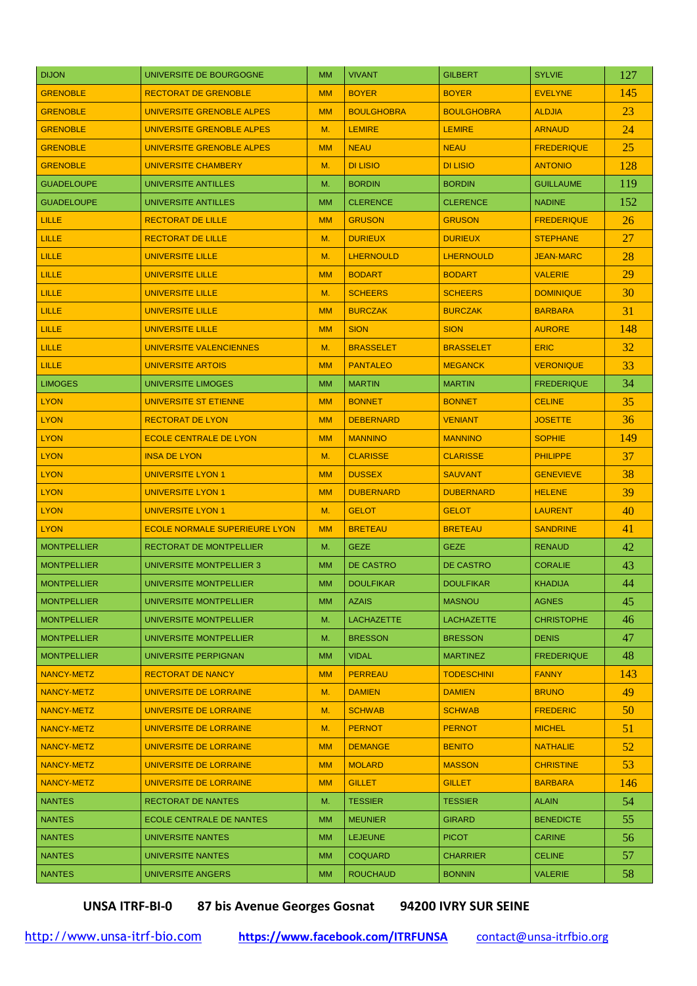| <b>DIJON</b>       | UNIVERSITE DE BOURGOGNE              | <b>MM</b> | <b>VIVANT</b>     | <b>GILBERT</b>    | <b>SYLVIE</b>     | 127 |
|--------------------|--------------------------------------|-----------|-------------------|-------------------|-------------------|-----|
| <b>GRENOBLE</b>    | <b>RECTORAT DE GRENOBLE</b>          | <b>MM</b> | <b>BOYER</b>      | <b>BOYER</b>      | <b>EVELYNE</b>    | 145 |
| <b>GRENOBLE</b>    | UNIVERSITE GRENOBLE ALPES            | <b>MM</b> | <b>BOULGHOBRA</b> | <b>BOULGHOBRA</b> | <b>ALDJIA</b>     | 23  |
| <b>GRENOBLE</b>    | UNIVERSITE GRENOBLE ALPES            | M.        | <b>LEMIRE</b>     | <b>LEMIRE</b>     | <b>ARNAUD</b>     | 24  |
| <b>GRENOBLE</b>    | UNIVERSITE GRENOBLE ALPES            | <b>MM</b> | <b>NEAU</b>       | <b>NEAU</b>       | <b>FREDERIQUE</b> | 25  |
| <b>GRENOBLE</b>    | UNIVERSITE CHAMBERY                  | M.        | <b>DI LISIO</b>   | <b>DI LISIO</b>   | <b>ANTONIO</b>    | 128 |
| <b>GUADELOUPE</b>  | UNIVERSITE ANTILLES                  | M.        | <b>BORDIN</b>     | <b>BORDIN</b>     | <b>GUILLAUME</b>  | 119 |
| <b>GUADELOUPE</b>  | UNIVERSITE ANTILLES                  | <b>MM</b> | <b>CLERENCE</b>   | <b>CLERENCE</b>   | <b>NADINE</b>     | 152 |
| LILLE              | <b>RECTORAT DE LILLE</b>             | <b>MM</b> | <b>GRUSON</b>     | <b>GRUSON</b>     | <b>FREDERIQUE</b> | 26  |
| <b>LILLE</b>       | <b>RECTORAT DE LILLE</b>             | M.        | <b>DURIEUX</b>    | <b>DURIEUX</b>    | <b>STEPHANE</b>   | 27  |
| LILLE              | UNIVERSITE LILLE                     | M.        | <b>LHERNOULD</b>  | <b>LHERNOULD</b>  | <b>JEAN-MARC</b>  | 28  |
| LILLE              | <b>UNIVERSITE LILLE</b>              | <b>MM</b> | <b>BODART</b>     | <b>BODART</b>     | <b>VALERIE</b>    | 29  |
| <b>LILLE</b>       | <b>UNIVERSITE LILLE</b>              | M.        | <b>SCHEERS</b>    | <b>SCHEERS</b>    | <b>DOMINIQUE</b>  | 30  |
| LILLE              | <b>UNIVERSITE LILLE</b>              | <b>MM</b> | <b>BURCZAK</b>    | <b>BURCZAK</b>    | <b>BARBARA</b>    | 31  |
| LILLE              | <b>UNIVERSITE LILLE</b>              | <b>MM</b> | <b>SION</b>       | <b>SION</b>       | <b>AURORE</b>     | 148 |
| LILLE              | UNIVERSITE VALENCIENNES              | M.        | <b>BRASSELET</b>  | <b>BRASSELET</b>  | <b>ERIC</b>       | 32  |
| LILLE              | <b>UNIVERSITE ARTOIS</b>             | <b>MM</b> | <b>PANTALEO</b>   | <b>MEGANCK</b>    | <b>VERONIQUE</b>  | 33  |
| <b>LIMOGES</b>     | UNIVERSITE LIMOGES                   | <b>MM</b> | <b>MARTIN</b>     | <b>MARTIN</b>     | <b>FREDERIQUE</b> | 34  |
| <b>LYON</b>        | UNIVERSITE ST ETIENNE                | <b>MM</b> | <b>BONNET</b>     | <b>BONNET</b>     | <b>CELINE</b>     | 35  |
| <b>LYON</b>        | <b>RECTORAT DE LYON</b>              | <b>MM</b> | <b>DEBERNARD</b>  | <b>VENIANT</b>    | <b>JOSETTE</b>    | 36  |
| <b>LYON</b>        | <b>ECOLE CENTRALE DE LYON</b>        | <b>MM</b> | <b>MANNINO</b>    | <b>MANNINO</b>    | <b>SOPHIE</b>     | 149 |
| <b>LYON</b>        | <b>INSA DE LYON</b>                  | M.        | <b>CLARISSE</b>   | <b>CLARISSE</b>   | <b>PHILIPPE</b>   | 37  |
| <b>LYON</b>        | <b>UNIVERSITE LYON 1</b>             | <b>MM</b> | <b>DUSSEX</b>     | <b>SAUVANT</b>    | <b>GENEVIEVE</b>  | 38  |
| <b>LYON</b>        | <b>UNIVERSITE LYON 1</b>             | <b>MM</b> | <b>DUBERNARD</b>  | <b>DUBERNARD</b>  | <b>HELENE</b>     | 39. |
| <b>LYON</b>        | <b>UNIVERSITE LYON 1</b>             | M.        | <b>GELOT</b>      | <b>GELOT</b>      | <b>LAURENT</b>    | 40  |
| <b>LYON</b>        | <b>ECOLE NORMALE SUPERIEURE LYON</b> | <b>MM</b> | <b>BRETEAU</b>    | <b>BRETEAU</b>    | <b>SANDRINE</b>   | 41  |
| <b>MONTPELLIER</b> | RECTORAT DE MONTPELLIER              | M.        | <b>GEZE</b>       | <b>GEZE</b>       | <b>RENAUD</b>     | 42  |
| <b>MONTPELLIER</b> | UNIVERSITE MONTPELLIER 3             | <b>MM</b> | <b>DE CASTRO</b>  | <b>DE CASTRO</b>  | <b>CORALIE</b>    | 43  |
| <b>MONTPELLIER</b> | UNIVERSITE MONTPELLIER               | <b>MM</b> | <b>DOULFIKAR</b>  | <b>DOULFIKAR</b>  | <b>KHADIJA</b>    | 44  |
| <b>MONTPELLIER</b> | UNIVERSITE MONTPELLIER               | <b>MM</b> | <b>AZAIS</b>      | <b>MASNOU</b>     | <b>AGNES</b>      | 45  |
| <b>MONTPELLIER</b> | UNIVERSITE MONTPELLIER               | M.        | <b>LACHAZETTE</b> | <b>LACHAZETTE</b> | <b>CHRISTOPHE</b> | 46  |
| <b>MONTPELLIER</b> | UNIVERSITE MONTPELLIER               | М.        | <b>BRESSON</b>    | <b>BRESSON</b>    | <b>DENIS</b>      | 47  |
| <b>MONTPELLIER</b> | UNIVERSITE PERPIGNAN                 | <b>MM</b> | <b>VIDAL</b>      | <b>MARTINEZ</b>   | <b>FREDERIQUE</b> | 48  |
| <b>NANCY-METZ</b>  | <b>RECTORAT DE NANCY</b>             | <b>MM</b> | <b>PERREAU</b>    | <b>TODESCHINI</b> | <b>FANNY</b>      | 143 |
| <b>NANCY-METZ</b>  | UNIVERSITE DE LORRAINE               | M.        | <b>DAMIEN</b>     | <b>DAMIEN</b>     | <b>BRUNO</b>      | 49. |
| NANCY-METZ         | UNIVERSITE DE LORRAINE               | M.        | <b>SCHWAB</b>     | <b>SCHWAB</b>     | <b>FREDERIC</b>   | 50  |
| NANCY-METZ         | UNIVERSITE DE LORRAINE               | M.        | <b>PERNOT</b>     | <b>PERNOT</b>     | <b>MICHEL</b>     | 51  |
| <b>NANCY-METZ</b>  | UNIVERSITE DE LORRAINE               | <b>MM</b> | <b>DEMANGE</b>    | <b>BENITO</b>     | <b>NATHALIE</b>   | 52  |
| <b>NANCY-METZ</b>  | UNIVERSITE DE LORRAINE               | <b>MM</b> | <b>MOLARD</b>     | <b>MASSON</b>     | <b>CHRISTINE</b>  | 53  |
| NANCY-METZ         | UNIVERSITE DE LORRAINE               | <b>MM</b> | <b>GILLET</b>     | <b>GILLET</b>     | <b>BARBARA</b>    | 146 |
| <b>NANTES</b>      | RECTORAT DE NANTES                   | M.        | <b>TESSIER</b>    | <b>TESSIER</b>    | <b>ALAIN</b>      | 54  |
| <b>NANTES</b>      | ECOLE CENTRALE DE NANTES             | <b>MM</b> | <b>MEUNIER</b>    | <b>GIRARD</b>     | <b>BENEDICTE</b>  | 55  |
| <b>NANTES</b>      | UNIVERSITE NANTES                    | МM        | <b>LEJEUNE</b>    | <b>PICOT</b>      | <b>CARINE</b>     | 56  |
| <b>NANTES</b>      | UNIVERSITE NANTES                    | <b>MM</b> | <b>COQUARD</b>    | <b>CHARRIER</b>   | <b>CELINE</b>     | 57  |
| <b>NANTES</b>      | UNIVERSITE ANGERS                    | <b>MM</b> | <b>ROUCHAUD</b>   | <b>BONNIN</b>     | <b>VALERIE</b>    | 58  |

**UNSA ITRF-BI-0 87 bis Avenue Georges Gosnat 94200 IVRY SUR SEINE**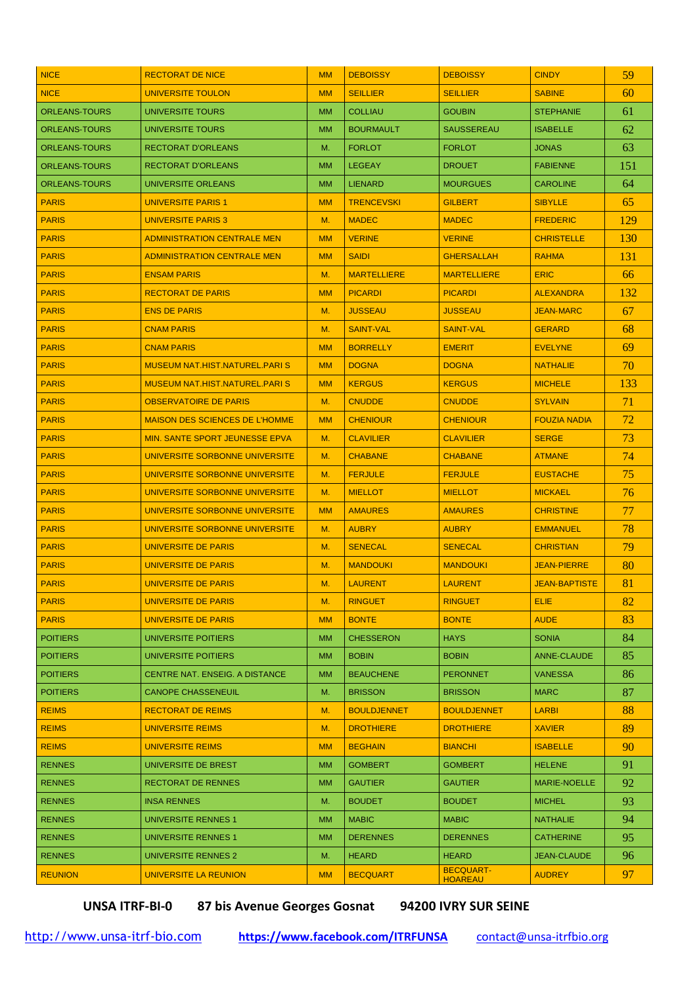| <b>NICE</b>          | <b>RECTORAT DE NICE</b>               | <b>MM</b> | <b>DEBOISSY</b>    | <b>DEBOISSY</b>                    | <b>CINDY</b>         | 59  |
|----------------------|---------------------------------------|-----------|--------------------|------------------------------------|----------------------|-----|
| <b>NICE</b>          | <b>UNIVERSITE TOULON</b>              | <b>MM</b> | <b>SEILLIER</b>    | <b>SEILLIER</b>                    | <b>SABINE</b>        | 60  |
| <b>ORLEANS-TOURS</b> | UNIVERSITE TOURS                      | <b>MM</b> | <b>COLLIAU</b>     | <b>GOUBIN</b>                      | <b>STEPHANIE</b>     | 61  |
| <b>ORLEANS-TOURS</b> | UNIVERSITE TOURS                      | <b>MM</b> | <b>BOURMAULT</b>   | <b>SAUSSEREAU</b>                  | <b>ISABELLE</b>      | 62  |
| <b>ORLEANS-TOURS</b> | <b>RECTORAT D'ORLEANS</b>             | М.        | <b>FORLOT</b>      | <b>FORLOT</b>                      | <b>JONAS</b>         | 63  |
| <b>ORLEANS-TOURS</b> | <b>RECTORAT D'ORLEANS</b>             | <b>MM</b> | <b>LEGEAY</b>      | <b>DROUET</b>                      | <b>FABIENNE</b>      | 151 |
| <b>ORLEANS-TOURS</b> | UNIVERSITE ORLEANS                    | <b>MM</b> | <b>LIENARD</b>     | <b>MOURGUES</b>                    | <b>CAROLINE</b>      | 64  |
| <b>PARIS</b>         | <b>UNIVERSITE PARIS 1</b>             | <b>MM</b> | <b>TRENCEVSKI</b>  | <b>GILBERT</b>                     | <b>SIBYLLE</b>       | 65  |
| <b>PARIS</b>         | <b>UNIVERSITE PARIS 3</b>             | M.        | <b>MADEC</b>       | <b>MADEC</b>                       | <b>FREDERIC</b>      | 129 |
| <b>PARIS</b>         | <b>ADMINISTRATION CENTRALE MEN</b>    | <b>MM</b> | <b>VERINE</b>      | <b>VERINE</b>                      | <b>CHRISTELLE</b>    | 130 |
| <b>PARIS</b>         | <b>ADMINISTRATION CENTRALE MEN</b>    | <b>MM</b> | <b>SAIDI</b>       | <b>GHERSALLAH</b>                  | <b>RAHMA</b>         | 131 |
| <b>PARIS</b>         | <b>ENSAM PARIS</b>                    | M.        | <b>MARTELLIERE</b> | <b>MARTELLIERE</b>                 | <b>ERIC</b>          | 66  |
| <b>PARIS</b>         | <b>RECTORAT DE PARIS</b>              | <b>MM</b> | <b>PICARDI</b>     | <b>PICARDI</b>                     | <b>ALEXANDRA</b>     | 132 |
| <b>PARIS</b>         | <b>ENS DE PARIS</b>                   | M.        | <b>JUSSEAU</b>     | <b>JUSSEAU</b>                     | <b>JEAN-MARC</b>     | 67  |
| <b>PARIS</b>         | <b>CNAM PARIS</b>                     | M.        | <b>SAINT-VAL</b>   | <b>SAINT-VAL</b>                   | <b>GERARD</b>        | 68  |
| <b>PARIS</b>         | <b>CNAM PARIS</b>                     | <b>MM</b> | <b>BORRELLY</b>    | <b>EMERIT</b>                      | <b>EVELYNE</b>       | 69  |
| <b>PARIS</b>         | <b>MUSEUM NAT.HIST.NATUREL.PARIS</b>  | <b>MM</b> | <b>DOGNA</b>       | <b>DOGNA</b>                       | <b>NATHALIE</b>      | 70  |
| <b>PARIS</b>         | <b>MUSEUM NAT.HIST.NATUREL.PARIS</b>  | <b>MM</b> | <b>KERGUS</b>      | <b>KERGUS</b>                      | <b>MICHELE</b>       | 133 |
| <b>PARIS</b>         | <b>OBSERVATOIRE DE PARIS</b>          | M.        | <b>CNUDDE</b>      | <b>CNUDDE</b>                      | <b>SYLVAIN</b>       | 71  |
| <b>PARIS</b>         | <b>MAISON DES SCIENCES DE L'HOMME</b> | <b>MM</b> | <b>CHENIOUR</b>    | <b>CHENIOUR</b>                    | <b>FOUZIA NADIA</b>  | 72  |
| <b>PARIS</b>         | <b>MIN. SANTE SPORT JEUNESSE EPVA</b> | M.        | <b>CLAVILIER</b>   | <b>CLAVILIER</b>                   | <b>SERGE</b>         | 73  |
| <b>PARIS</b>         | UNIVERSITE SORBONNE UNIVERSITE        | M.        | <b>CHABANE</b>     | <b>CHABANE</b>                     | <b>ATMANE</b>        | 74  |
| <b>PARIS</b>         | UNIVERSITE SORBONNE UNIVERSITE        | M.        | <b>FERJULE</b>     | <b>FERJULE</b>                     | <b>EUSTACHE</b>      | 75  |
| <b>PARIS</b>         | UNIVERSITE SORBONNE UNIVERSITE        | M.        | <b>MIELLOT</b>     | <b>MIELLOT</b>                     | <b>MICKAEL</b>       | 76  |
| <b>PARIS</b>         | UNIVERSITE SORBONNE UNIVERSITE        | <b>MM</b> | <b>AMAURES</b>     | <b>AMAURES</b>                     | <b>CHRISTINE</b>     | 77  |
| <b>PARIS</b>         | UNIVERSITE SORBONNE UNIVERSITE        | M.        | <b>AUBRY</b>       | <b>AUBRY</b>                       | <b>EMMANUEL</b>      | 78  |
| <b>PARIS</b>         | <b>UNIVERSITE DE PARIS</b>            | M.        | <b>SENECAL</b>     | <b>SENECAL</b>                     | <b>CHRISTIAN</b>     | 79  |
| <b>PARIS</b>         | <b>UNIVERSITE DE PARIS</b>            | M.        | <b>MANDOUKI</b>    | <b>MANDOUKI</b>                    | <b>JEAN-PIERRE</b>   | 80  |
| <b>PARIS</b>         | <b>UNIVERSITE DE PARIS</b>            | M.        | <b>LAURENT</b>     | <b>LAURENT</b>                     | <b>JEAN-BAPTISTE</b> | 81  |
| <b>PARIS</b>         | <b>UNIVERSITE DE PARIS</b>            | M.        | <b>RINGUET</b>     | <b>RINGUET</b>                     | <b>ELIE</b>          | 82  |
| <b>PARIS</b>         | UNIVERSITE DE PARIS                   | <b>MM</b> | <b>BONTE</b>       | <b>BONTE</b>                       | <b>AUDE</b>          | 83  |
| <b>POITIERS</b>      | UNIVERSITE POITIERS                   | <b>MM</b> | <b>CHESSERON</b>   | <b>HAYS</b>                        | <b>SONIA</b>         | 84  |
| <b>POITIERS</b>      | UNIVERSITE POITIERS                   | <b>MM</b> | <b>BOBIN</b>       | <b>BOBIN</b>                       | <b>ANNE-CLAUDE</b>   | 85  |
| <b>POITIERS</b>      | <b>CENTRE NAT. ENSEIG. A DISTANCE</b> | <b>MM</b> | <b>BEAUCHENE</b>   | <b>PERONNET</b>                    | <b>VANESSA</b>       | 86  |
| <b>POITIERS</b>      | <b>CANOPE CHASSENEUIL</b>             | М.        | <b>BRISSON</b>     | <b>BRISSON</b>                     | <b>MARC</b>          | 87  |
| <b>REIMS</b>         | <b>RECTORAT DE REIMS</b>              | М.        | <b>BOULDJENNET</b> | <b>BOULDJENNET</b>                 | <b>LARBI</b>         | 88  |
| <b>REIMS</b>         | <b>UNIVERSITE REIMS</b>               | M.        | <b>DROTHIERE</b>   | <b>DROTHIERE</b>                   | <b>XAVIER</b>        | 89  |
| <b>REIMS</b>         | UNIVERSITE REIMS                      | <b>MM</b> | <b>BEGHAIN</b>     | <b>BIANCHI</b>                     | <b>ISABELLE</b>      | 90  |
| <b>RENNES</b>        | UNIVERSITE DE BREST                   | <b>MM</b> | <b>GOMBERT</b>     | <b>GOMBERT</b>                     | <b>HELENE</b>        | 91  |
| <b>RENNES</b>        | <b>RECTORAT DE RENNES</b>             | <b>MM</b> | <b>GAUTIER</b>     | <b>GAUTIER</b>                     | <b>MARIE-NOELLE</b>  | 92  |
| <b>RENNES</b>        | <b>INSA RENNES</b>                    | М.        | <b>BOUDET</b>      | <b>BOUDET</b>                      | <b>MICHEL</b>        | 93  |
| <b>RENNES</b>        | UNIVERSITE RENNES 1                   | <b>MM</b> | <b>MABIC</b>       | <b>MABIC</b>                       | <b>NATHALIE</b>      | 94  |
| <b>RENNES</b>        | UNIVERSITE RENNES 1                   | <b>MM</b> | <b>DERENNES</b>    | <b>DERENNES</b>                    | <b>CATHERINE</b>     | 95. |
| <b>RENNES</b>        | UNIVERSITE RENNES 2                   | M.        | <b>HEARD</b>       | <b>HEARD</b>                       | <b>JEAN-CLAUDE</b>   | 96  |
| <b>REUNION</b>       | UNIVERSITE LA REUNION                 | <b>MM</b> | <b>BECQUART</b>    | <b>BECQUART-</b><br><b>HOAREAU</b> | <b>AUDREY</b>        | 97. |

**UNSA ITRF-BI-0 87 bis Avenue Georges Gosnat 94200 IVRY SUR SEINE**